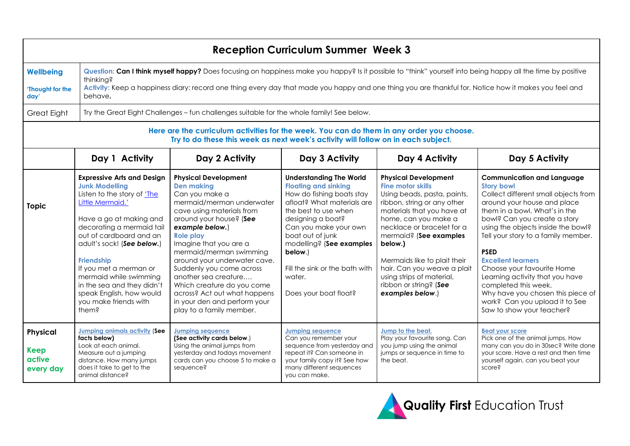| <b>Reception Curriculum Summer Week 3</b>                                                                                                                                      |                                                                                                                                                                                                                                                                                                                                                                                                     |                                                                                                                                                                                                                                                                                                                                                                                                                                                                   |                                                                                                                                                                                                                                                                                                                                |                                                                                                                                                                                                                                                                                                                                                                                          |                                                                                                                                                                                                                                                                                                                                                                                                                                                                                                                      |  |
|--------------------------------------------------------------------------------------------------------------------------------------------------------------------------------|-----------------------------------------------------------------------------------------------------------------------------------------------------------------------------------------------------------------------------------------------------------------------------------------------------------------------------------------------------------------------------------------------------|-------------------------------------------------------------------------------------------------------------------------------------------------------------------------------------------------------------------------------------------------------------------------------------------------------------------------------------------------------------------------------------------------------------------------------------------------------------------|--------------------------------------------------------------------------------------------------------------------------------------------------------------------------------------------------------------------------------------------------------------------------------------------------------------------------------|------------------------------------------------------------------------------------------------------------------------------------------------------------------------------------------------------------------------------------------------------------------------------------------------------------------------------------------------------------------------------------------|----------------------------------------------------------------------------------------------------------------------------------------------------------------------------------------------------------------------------------------------------------------------------------------------------------------------------------------------------------------------------------------------------------------------------------------------------------------------------------------------------------------------|--|
| <b>Wellbeing</b><br>'Thought for the<br>day'                                                                                                                                   | Question: Can I think myself happy? Does focusing on happiness make you happy? Is it possible to "think" yourself into being happy all the time by positive<br>thinking?<br>Activity: Keep a happiness diary: record one thing every day that made you happy and one thing you are thankful for. Notice how it makes you feel and<br>behave.                                                        |                                                                                                                                                                                                                                                                                                                                                                                                                                                                   |                                                                                                                                                                                                                                                                                                                                |                                                                                                                                                                                                                                                                                                                                                                                          |                                                                                                                                                                                                                                                                                                                                                                                                                                                                                                                      |  |
| Great Eight                                                                                                                                                                    | Try the Great Eight Challenges - fun challenges suitable for the whole family! See below.                                                                                                                                                                                                                                                                                                           |                                                                                                                                                                                                                                                                                                                                                                                                                                                                   |                                                                                                                                                                                                                                                                                                                                |                                                                                                                                                                                                                                                                                                                                                                                          |                                                                                                                                                                                                                                                                                                                                                                                                                                                                                                                      |  |
| Here are the curriculum activities for the week. You can do them in any order you choose.<br>Try to do these this week as next week's activity will follow on in each subject. |                                                                                                                                                                                                                                                                                                                                                                                                     |                                                                                                                                                                                                                                                                                                                                                                                                                                                                   |                                                                                                                                                                                                                                                                                                                                |                                                                                                                                                                                                                                                                                                                                                                                          |                                                                                                                                                                                                                                                                                                                                                                                                                                                                                                                      |  |
|                                                                                                                                                                                | Day 1 Activity                                                                                                                                                                                                                                                                                                                                                                                      | Day 2 Activity                                                                                                                                                                                                                                                                                                                                                                                                                                                    | Day 3 Activity                                                                                                                                                                                                                                                                                                                 | Day 4 Activity                                                                                                                                                                                                                                                                                                                                                                           | Day 5 Activity                                                                                                                                                                                                                                                                                                                                                                                                                                                                                                       |  |
| <b>Topic</b>                                                                                                                                                                   | <b>Expressive Arts and Design</b><br><b>Junk Modelling</b><br>Listen to the story of 'The<br>Little Mermaid.'<br>Have a go at making and<br>decorating a mermaid tail<br>out of cardboard and an<br>adult's sock! (See below.)<br><b>Friendship</b><br>If you met a merman or<br>mermaid while swimming<br>in the sea and they didn't<br>speak English, how would<br>you make friends with<br>them? | <b>Physical Development</b><br><b>Den making</b><br>Can you make a<br>mermaid/merman underwater<br>cave using materials from<br>around your house? (See<br>example below.)<br><b>Role play</b><br>Imagine that you are a<br>mermaid/merman swimming<br>around your underwater cave.<br>Suddenly you come across<br>another sea creature<br>Which creature do you come<br>across? Act out what happens<br>in your den and perform your<br>play to a family member. | <b>Understanding The World</b><br><b>Floating and sinking</b><br>How do fishing boats stay<br>afloat? What materials are<br>the best to use when<br>designing a boat?<br>Can you make your own<br>boat out of junk<br>modelling? (See examples<br>below.)<br>Fill the sink or the bath with<br>water.<br>Does your boat float? | <b>Physical Development</b><br><b>Fine motor skills</b><br>Using beads, pasta, paints,<br>ribbon, string or any other<br>materials that you have at<br>home, can you make a<br>necklace or bracelet for a<br>mermaid? (See examples<br>below.)<br>Mermaids like to plait their<br>hair. Can you weave a plait<br>using strips of material,<br>ribbon or string? (See<br>examples below.) | <b>Communication and Language</b><br><b>Story bowl</b><br>Collect different small objects from<br>around your house and place<br>them in a bowl. What's in the<br>bowl? Can you create a story<br>using the objects inside the bowl?<br>Tell your story to a family member.<br><b>PSED</b><br><b>Excellent learners</b><br>Choose your favourite Home<br>Learning activity that you have<br>completed this week.<br>Why have you chosen this piece of<br>work? Can you upload it to See<br>Saw to show your teacher? |  |
| Physical<br><b>Keep</b><br>active<br>every day                                                                                                                                 | <b>Jumping animals activity (See</b><br>facts below)<br>Look at each animal.<br>Measure out a jumping<br>distance. How many jumps<br>does it take to get to the<br>animal distance?                                                                                                                                                                                                                 | <b>Jumpina seauence</b><br>(See activity cards below.)<br>Using the animal jumps from<br>yesterday and todays movement<br>cards can you choose 5 to make a<br>sequence?                                                                                                                                                                                                                                                                                           | <b>Jumping sequence</b><br>Can you remember your<br>sequence from yesterday and<br>repeat it? Can someone in<br>your family copy it? See how<br>many different sequences<br>you can make.                                                                                                                                      | Jump to the beat.<br>Play your favourite song. Can<br>you jump using the animal<br>jumps or sequence in time to<br>the beat.                                                                                                                                                                                                                                                             | <b>Beat vour score</b><br>Pick one of the animal jumps. How<br>many can you do in 30sec? Write done<br>your score. Have a rest and then time<br>yourself again, can you beat your<br>score?                                                                                                                                                                                                                                                                                                                          |  |

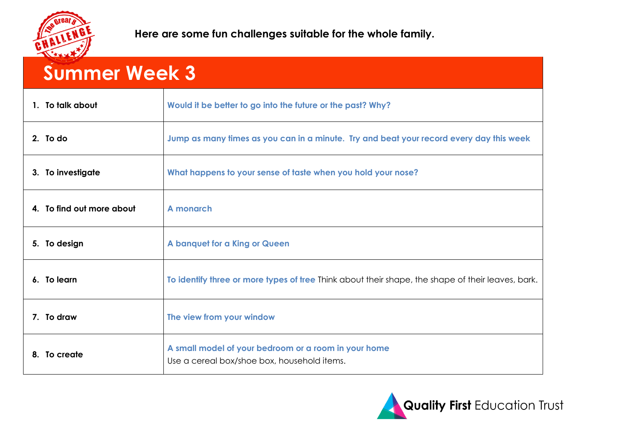

| <b>Summer Week 3</b>      |                                                                                                     |  |  |  |
|---------------------------|-----------------------------------------------------------------------------------------------------|--|--|--|
| 1. To talk about          | Would it be better to go into the future or the past? Why?                                          |  |  |  |
| 2. To do                  | Jump as many times as you can in a minute. Try and beat your record every day this week             |  |  |  |
| 3. To investigate         | What happens to your sense of taste when you hold your nose?                                        |  |  |  |
| 4. To find out more about | A monarch                                                                                           |  |  |  |
| 5. To design              | A banquet for a King or Queen                                                                       |  |  |  |
| 6. To learn               | To identify three or more types of tree Think about their shape, the shape of their leaves, bark.   |  |  |  |
| 7. To draw                | The view from your window                                                                           |  |  |  |
| 8. To create              | A small model of your bedroom or a room in your home<br>Use a cereal box/shoe box, household items. |  |  |  |

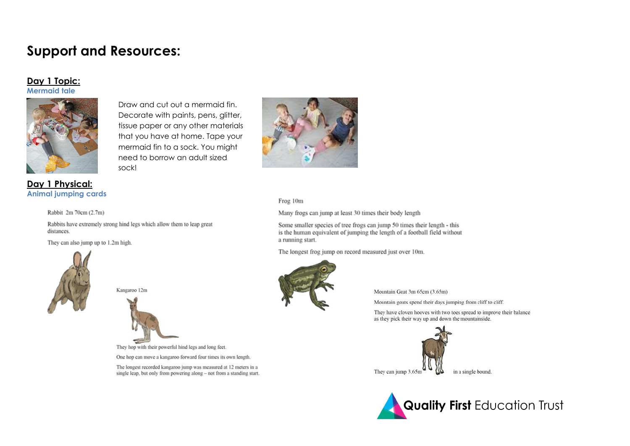## **Support and Resources:**

## Day 1 Topic: **Mermaid tale**



Draw and cut out a mermaid fin. Decorate with paints, pens, glitter, tissue paper or any other materials that you have at home. Tape your mermaid fin to a sock. You might need to borrow an adult sized sock!



Frog 10m

Many frogs can jump at least 30 times their body length

Some smaller species of tree frogs can jump 50 times their length - this is the human equivalent of jumping the length of a football field without a running start.

The longest frog jump on record measured just over 10m.



Mountain Goat 3m 65cm (3.65m)

Mountain goats spend their days jumping from cliff to cliff.

They have cloven hooves with two toes spread to improve their balance as they pick their way up and down the mountainside.





Day 1 Physical: **Animal jumping cards** 

Rabbit 2m 70cm (2.7m)

Rabbits have extremely strong hind legs which allow them to leap great distances.

They can also jump up to 1.2m high.



Kangaroo 12m



They hop with their powerful hind legs and long feet.

One hop can move a kangaroo forward four times its own length.

The longest recorded kangaroo jump was measured at 12 meters in a single leap, but only from powering along - not from a standing start.

in a single bound.

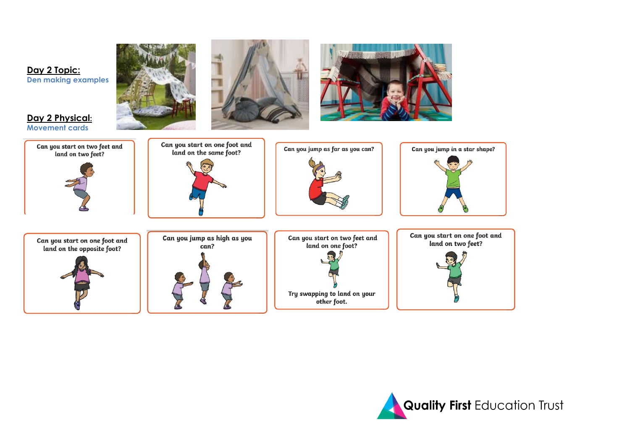





**Day 2 Physical: Movement cards**